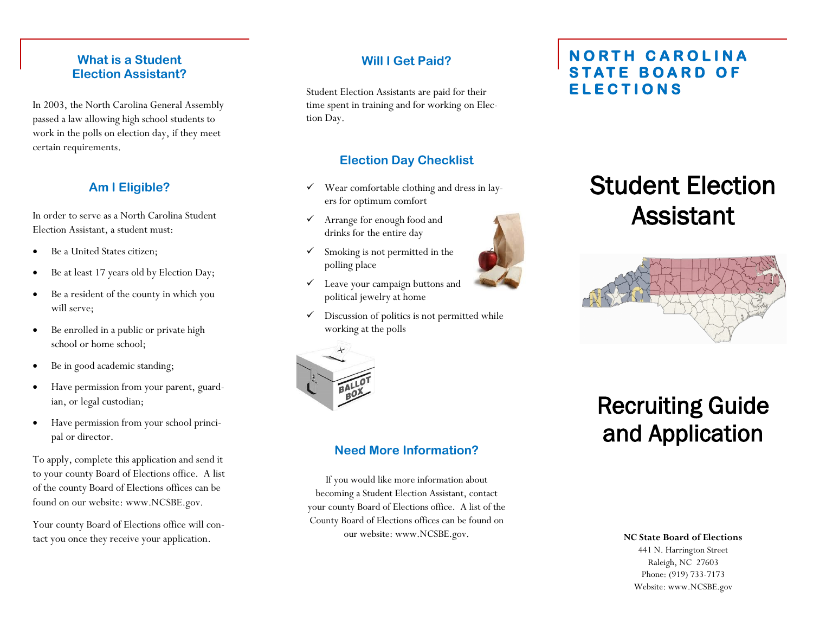### **What is a Student Election Assistant?**

In 2003, the North Carolina General Assembly passed a law allowing high school students to work in the polls on election day, if they meet certain requirements.

## **Am I Eligible?**

In order to serve as a North Carolina Student Election Assistant, a student must:

- Be a United States citizen;
- Be at least 17 years old by Election Day;
- Be a resident of the county in which you will serve;
- Be enrolled in a public or private high school or home school;
- Be in good academic standing;
- Have permission from your parent, guardian, or legal custodian;
- Have permission from your school principal or director.

To apply, complete this application and send it to your county Board of Elections office. A list of the county Board of Elections offices can be found on our website: www.NCSBE.gov.

Your county Board of Elections office will contact you once they receive your application.

### **Will I Get Paid?**

Student Election Assistants are paid for their time spent in training and for working on Election Day.

## **Election Day Checklist**

- $\checkmark$  Wear comfortable clothing and dress in layers for optimum comfort
- Arrange for enough food and drinks for the entire day
- $\checkmark$  Smoking is not permitted in the polling place
- Leave your campaign buttons and political jewelry at home
- $\checkmark$  Discussion of politics is not permitted while working at the polls



# **Need More Information?**

If you would like more information about becoming a Student Election Assistant, contact your county Board of Elections office. A list of the County Board of Elections offices can be found on our website: www.NCSBE.gov. **NC State Board of Elections** 

# **N O R T H C A R O L I N A STATE BOARD OF E L E C T I O N S**

# Student Election Assistant



# Recruiting Guide and Application

### 441 N. Harrington Street Raleigh, NC 27603 Phone: (919) 733-7173 Website: www.NCSBE.gov